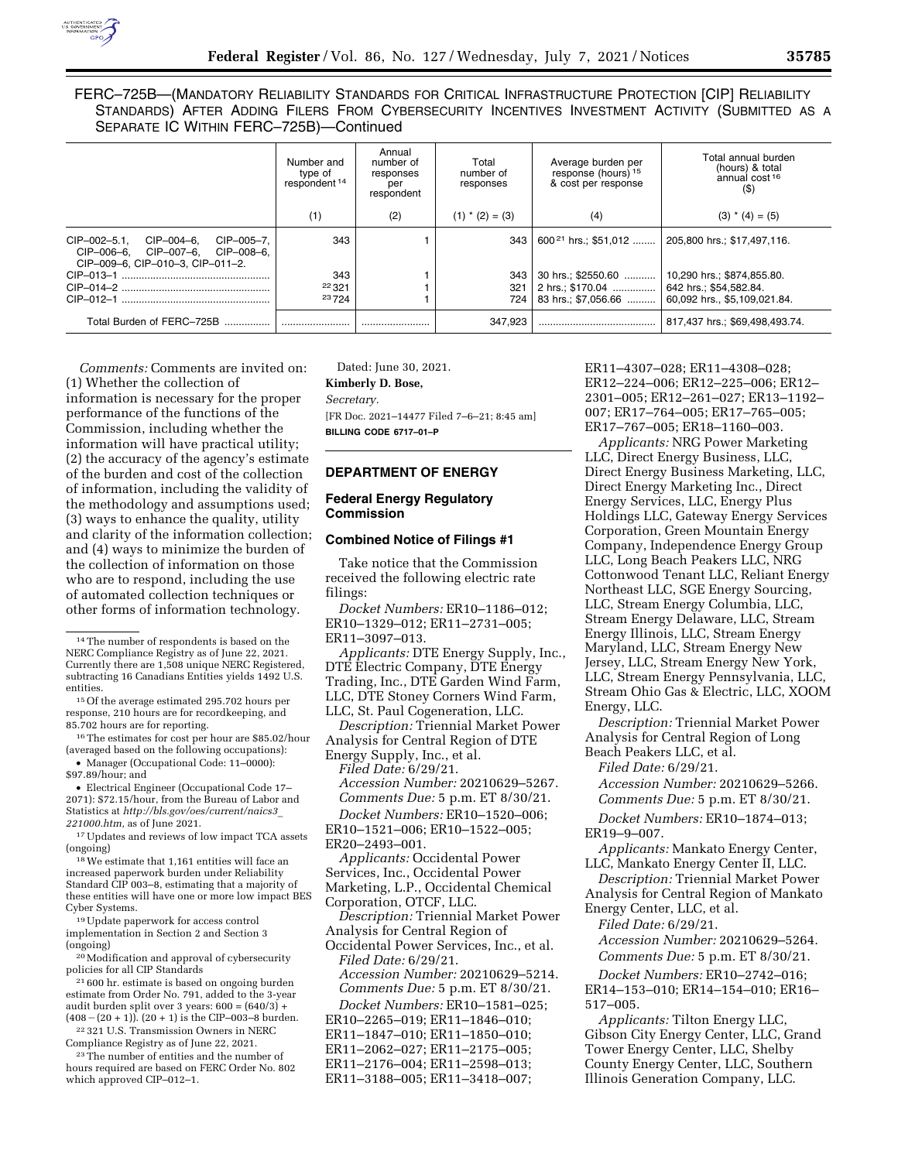FERC–725B—(MANDATORY RELIABILITY STANDARDS FOR CRITICAL INFRASTRUCTURE PROTECTION [CIP] RELIABILITY STANDARDS) AFTER ADDING FILERS FROM CYBERSECURITY INCENTIVES INVESTMENT ACTIVITY (SUBMITTED AS A SEPARATE IC WITHIN FERC–725B)—Continued

|                                                                                                                  | Number and<br>type of<br>respondent <sup>14</sup> | Annual<br>number of<br>responses<br>per<br>respondent | Total<br>number of<br>responses | Average burden per<br>response (hours) <sup>15</sup><br>& cost per response | Total annual burden<br>(hours) & total<br>annual cost <sup>16</sup><br>$($ \$) |
|------------------------------------------------------------------------------------------------------------------|---------------------------------------------------|-------------------------------------------------------|---------------------------------|-----------------------------------------------------------------------------|--------------------------------------------------------------------------------|
|                                                                                                                  | (1)                                               | (2)                                                   | $(1)$ * $(2) = (3)$             | (4)                                                                         | $(3) * (4) = (5)$                                                              |
| CIP-002-5.1.<br>CIP-004-6.<br>CIP-005-7.<br>CIP-006-6. CIP-007-6. CIP-008-6.<br>CIP-009-6, CIP-010-3, CIP-011-2. | 343                                               |                                                       | 343                             | $600^{21}$ hrs.: \$51.012                                                   | 205,800 hrs.; \$17,497,116.                                                    |
|                                                                                                                  | 343                                               |                                                       | 343                             | 30 hrs.; \$2550.60                                                          | 10,290 hrs.; \$874,855.80.                                                     |
|                                                                                                                  | 22 3 21                                           |                                                       | 321                             | 2 hrs.: \$170.04                                                            | 642 hrs.: \$54.582.84.                                                         |
|                                                                                                                  | 23724                                             |                                                       | 724                             | 83 hrs.; \$7,056.66                                                         | 60,092 hrs., \$5,109,021.84.                                                   |
| Total Burden of FERC-725B                                                                                        |                                                   |                                                       | 347.923                         |                                                                             | 817,437 hrs.; \$69,498,493.74.                                                 |

*Comments:* Comments are invited on: (1) Whether the collection of information is necessary for the proper performance of the functions of the Commission, including whether the information will have practical utility; (2) the accuracy of the agency's estimate of the burden and cost of the collection of information, including the validity of the methodology and assumptions used; (3) ways to enhance the quality, utility and clarity of the information collection; and (4) ways to minimize the burden of the collection of information on those who are to respond, including the use of automated collection techniques or other forms of information technology.

• Manager (Occupational Code: 11–0000): \$97.89/hour; and

• Electrical Engineer (Occupational Code 17– 2071): \$72.15/hour, from the Bureau of Labor and Statistics at *[http://bls.gov/oes/current/naics3](http://bls.gov/oes/current/naics3_221000.htm)*\_ *[221000.htm,](http://bls.gov/oes/current/naics3_221000.htm)* as of June 2021.

17Updates and reviews of low impact TCA assets (ongoing)

18We estimate that 1,161 entities will face an increased paperwork burden under Reliability Standard CIP 003–8, estimating that a majority of these entities will have one or more low impact BES Cyber Systems.

19Update paperwork for access control implementation in Section 2 and Section 3 (ongoing)

20Modification and approval of cybersecurity policies for all CIP Standards

21 600 hr. estimate is based on ongoing burden estimate from Order No. 791, added to the 3-year audit burden split over 3 years:  $600 = (640/3) +$  $(408 - (20 + 1))$ .  $(20 + 1)$  is the CIP–003–8 burden.

22 321 U.S. Transmission Owners in NERC Compliance Registry as of June 22, 2021.

23The number of entities and the number of hours required are based on FERC Order No. 802 which approved CIP–012–1.

Dated: June 30, 2021. **Kimberly D. Bose,**  *Secretary.* 

[FR Doc. 2021–14477 Filed 7–6–21; 8:45 am] **BILLING CODE 6717–01–P** 

# **DEPARTMENT OF ENERGY**

## **Federal Energy Regulatory Commission**

#### **Combined Notice of Filings #1**

Take notice that the Commission received the following electric rate filings:

*Docket Numbers:* ER10–1186–012; ER10–1329–012; ER11–2731–005; ER11–3097–013.

*Applicants:* DTE Energy Supply, Inc., DTE Electric Company, DTE Energy Trading, Inc., DTE Garden Wind Farm, LLC, DTE Stoney Corners Wind Farm, LLC, St. Paul Cogeneration, LLC.

*Description:* Triennial Market Power Analysis for Central Region of DTE Energy Supply, Inc., et al.

*Filed Date:* 6/29/21.

*Accession Number:* 20210629–5267. *Comments Due:* 5 p.m. ET 8/30/21.

*Docket Numbers:* ER10–1520–006; ER10–1521–006; ER10–1522–005; ER20–2493–001.

- *Applicants:* Occidental Power
- Services, Inc., Occidental Power

Marketing, L.P., Occidental Chemical

Corporation, OTCF, LLC. *Description:* Triennial Market Power

Analysis for Central Region of Occidental Power Services, Inc., et al. *Filed Date:* 6/29/21.

*Accession Number:* 20210629–5214. *Comments Due:* 5 p.m. ET 8/30/21.

*Docket Numbers:* ER10–1581–025; ER10–2265–019; ER11–1846–010; ER11–1847–010; ER11–1850–010; ER11–2062–027; ER11–2175–005; ER11–2176–004; ER11–2598–013; ER11–3188–005; ER11–3418–007;

ER11–4307–028; ER11–4308–028; ER12–224–006; ER12–225–006; ER12– 2301–005; ER12–261–027; ER13–1192– 007; ER17–764–005; ER17–765–005; ER17–767–005; ER18–1160–003.

*Applicants:* NRG Power Marketing LLC, Direct Energy Business, LLC, Direct Energy Business Marketing, LLC, Direct Energy Marketing Inc., Direct Energy Services, LLC, Energy Plus Holdings LLC, Gateway Energy Services Corporation, Green Mountain Energy Company, Independence Energy Group LLC, Long Beach Peakers LLC, NRG Cottonwood Tenant LLC, Reliant Energy Northeast LLC, SGE Energy Sourcing, LLC, Stream Energy Columbia, LLC, Stream Energy Delaware, LLC, Stream Energy Illinois, LLC, Stream Energy Maryland, LLC, Stream Energy New Jersey, LLC, Stream Energy New York, LLC, Stream Energy Pennsylvania, LLC, Stream Ohio Gas & Electric, LLC, XOOM Energy, LLC.

*Description:* Triennial Market Power Analysis for Central Region of Long Beach Peakers LLC, et al.

*Filed Date:* 6/29/21.

*Accession Number:* 20210629–5266. *Comments Due:* 5 p.m. ET 8/30/21.

*Docket Numbers:* ER10–1874–013;

ER19–9–007.

*Applicants:* Mankato Energy Center, LLC, Mankato Energy Center II, LLC.

*Description:* Triennial Market Power Analysis for Central Region of Mankato

Energy Center, LLC, et al.

*Filed Date:* 6/29/21.

*Accession Number:* 20210629–5264. *Comments Due:* 5 p.m. ET 8/30/21.

*Docket Numbers:* ER10–2742–016; ER14–153–010; ER14–154–010; ER16– 517–005.

*Applicants:* Tilton Energy LLC, Gibson City Energy Center, LLC, Grand Tower Energy Center, LLC, Shelby County Energy Center, LLC, Southern Illinois Generation Company, LLC.

<sup>14</sup>The number of respondents is based on the NERC Compliance Registry as of June 22, 2021. Currently there are 1,508 unique NERC Registered, subtracting 16 Canadians Entities yields 1492 U.S. entities.

<sup>15</sup>Of the average estimated 295.702 hours per response, 210 hours are for recordkeeping, and 85.702 hours are for reporting.

<sup>&</sup>lt;sup>16</sup> The estimates for cost per hour are \$85.02/hour (averaged based on the following occupations):